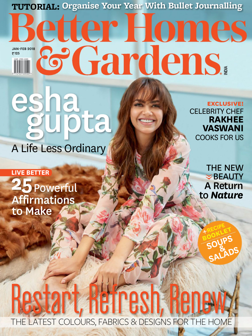**TUTORIAL: Organise Your Year With Bullet Journalling**

# etter Homes & Gardens. JAN-FEB 2018 ₹125

A Life Less Ordinary **Ha**<br>Ubta

**LIVE BETTER** Affirmations to Make **25**Powerful CELEBRITY CHEF **RAKHEE VASWANI** COOKS FOR US **exclusive!**

> A Return to *Nature* THE NEW  $\geq$  BEAUTY

**BOOKLET** 

**+RECIPE**

**SOUPS**

**& SALADS**

**TREST** THE LATEST COLOURS, FABRICS & DESIGNS FOR THE HOME